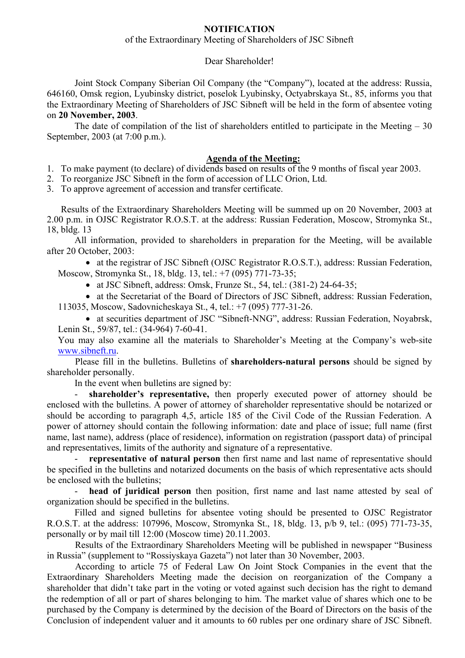## **NOTIFICATION**

## of the Extraordinary Meeting of Shareholders of JSC Sibneft

#### Dear Shareholder!

Joint Stock Company Siberian Oil Company (the "Company"), located at the address: Russia, 646160, Omsk region, Lyubinsky district, poselok Lyubinsky, Octyabrskaya St., 85, informs you that the Extraordinary Meeting of Shareholders of JSC Sibneft will be held in the form of absentee voting on **20 November, 2003**.

The date of compilation of the list of shareholders entitled to participate in the Meeting  $-30$ September, 2003 (at 7:00 p.m.).

### **Agenda of the Meeting:**

1. To make payment (to declare) of dividends based on results of the 9 months of fiscal year 2003.

2. To reorganize JSC Sibneft in the form of accession of LLC Orion, Ltd.

3. To approve agreement of accession and transfer certificate.

Results of the Extraordinary Shareholders Meeting will be summed up on 20 November, 2003 at 2.00 p.m. in OJSC Registrator R.O.S.T. at the address: Russian Federation, Moscow, Stromynka St., 18, bldg. 13

All information, provided to shareholders in preparation for the Meeting, will be available after 20 October, 2003:

• at the registrar of JSC Sibneft (OJSC Registrator R.O.S.T.), address: Russian Federation, Moscow, Stromynka St., 18, bldg. 13, tel.: +7 (095) 771-73-35;

• at JSC Sibneft, address: Omsk, Frunze St., 54, tel.:  $(381-2)$  24-64-35;

• at the Secretariat of the Board of Directors of JSC Sibneft, address: Russian Federation, 113035, Moscow, Sadovnicheskaya St., 4, tel.: +7 (095) 777-31-26.

• at securities department of JSC "Sibneft-NNG", address: Russian Federation, Noyabrsk, Lenin St., 59/87, tel.: (34-964) 7-60-41.

You may also examine all the materials to Shareholder's Meeting at the Company's web-site www.sibneft.ru.

Please fill in the bulletins. Bulletins of **shareholders-natural persons** should be signed by shareholder personally.

In the event when bulletins are signed by:

shareholder's representative, then properly executed power of attorney should be enclosed with the bulletins. A power of attorney of shareholder representative should be notarized or should be according to paragraph 4,5, article 185 of the Civil Code of the Russian Federation. A power of attorney should contain the following information: date and place of issue; full name (first name, last name), address (place of residence), information on registration (passport data) of principal and representatives, limits of the authority and signature of a representative.

- **representative of natural person** then first name and last name of representative should be specified in the bulletins and notarized documents on the basis of which representative acts should be enclosed with the bulletins;

head of juridical person then position, first name and last name attested by seal of organization should be specified in the bulletins.

Filled and signed bulletins for absentee voting should be presented to OJSC Registrator R.O.S.T. at the address: 107996, Moscow, Stromynka St., 18, bldg. 13, p/b 9, tel.: (095) 771-73-35, personally or by mail till 12:00 (Moscow time) 20.11.2003.

Results of the Extraordinary Shareholders Meeting will be published in newspaper "Business in Russia" (supplement to "Rossiyskaya Gazeta") not later than 30 November, 2003.

According to article 75 of Federal Law On Joint Stock Companies in the event that the Extraordinary Shareholders Meeting made the decision on reorganization of the Company a shareholder that didn't take part in the voting or voted against such decision has the right to demand the redemption of all or part of shares belonging to him. The market value of shares which one to be purchased by the Company is determined by the decision of the Board of Directors on the basis of the Conclusion of independent valuer and it amounts to 60 rubles per one ordinary share of JSC Sibneft.